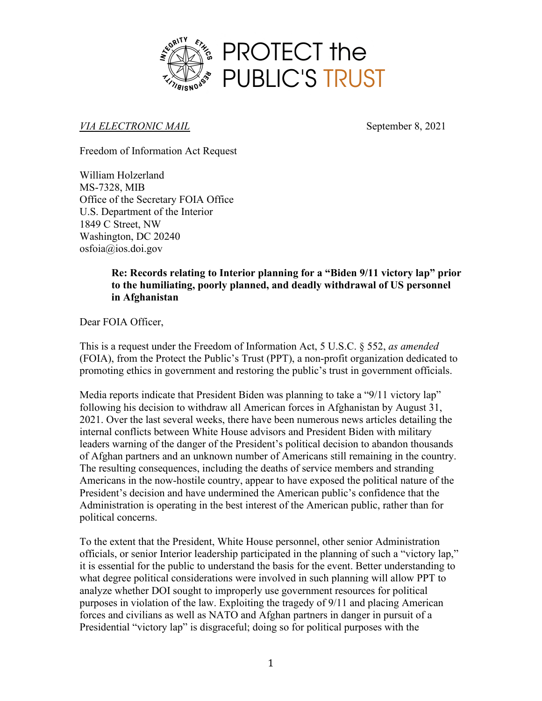

*VIA ELECTRONIC MAIL* September 8, 2021

Freedom of Information Act Request

William Holzerland MS-7328, MIB Office of the Secretary FOIA Office U.S. Department of the Interior 1849 C Street, NW Washington, DC 20240 osfoia@ios.doi.gov

## **Re: Records relating to Interior planning for a "Biden 9/11 victory lap" prior to the humiliating, poorly planned, and deadly withdrawal of US personnel in Afghanistan**

Dear FOIA Officer,

This is a request under the Freedom of Information Act, 5 U.S.C. § 552, *as amended* (FOIA), from the Protect the Public's Trust (PPT), a non-profit organization dedicated to promoting ethics in government and restoring the public's trust in government officials.

Media reports indicate that President Biden was planning to take a "9/11 victory lap" following his decision to withdraw all American forces in Afghanistan by August 31, 2021. Over the last several weeks, there have been numerous news articles detailing the internal conflicts between White House advisors and President Biden with military leaders warning of the danger of the President's political decision to abandon thousands of Afghan partners and an unknown number of Americans still remaining in the country. The resulting consequences, including the deaths of service members and stranding Americans in the now-hostile country, appear to have exposed the political nature of the President's decision and have undermined the American public's confidence that the Administration is operating in the best interest of the American public, rather than for political concerns.

To the extent that the President, White House personnel, other senior Administration officials, or senior Interior leadership participated in the planning of such a "victory lap," it is essential for the public to understand the basis for the event. Better understanding to what degree political considerations were involved in such planning will allow PPT to analyze whether DOI sought to improperly use government resources for political purposes in violation of the law. Exploiting the tragedy of 9/11 and placing American forces and civilians as well as NATO and Afghan partners in danger in pursuit of a Presidential "victory lap" is disgraceful; doing so for political purposes with the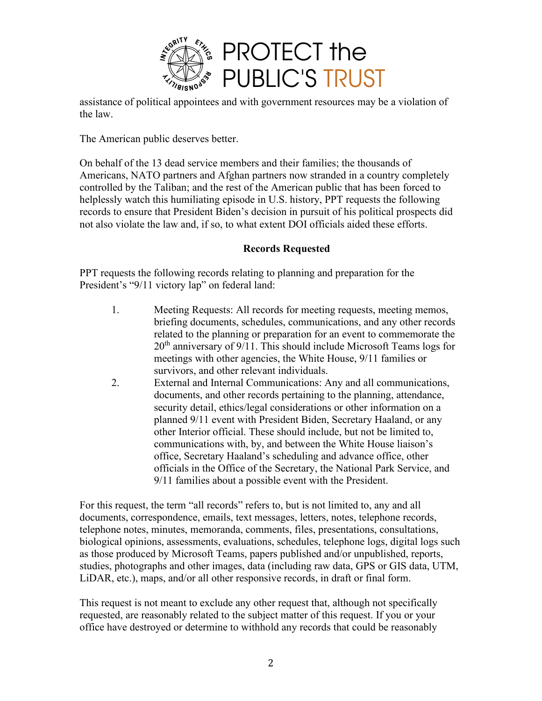

assistance of political appointees and with government resources may be a violation of the law.

The American public deserves better.

On behalf of the 13 dead service members and their families; the thousands of Americans, NATO partners and Afghan partners now stranded in a country completely controlled by the Taliban; and the rest of the American public that has been forced to helplessly watch this humiliating episode in U.S. history, PPT requests the following records to ensure that President Biden's decision in pursuit of his political prospects did not also violate the law and, if so, to what extent DOI officials aided these efforts.

## **Records Requested**

PPT requests the following records relating to planning and preparation for the President's "9/11 victory lap" on federal land:

- 1. Meeting Requests: All records for meeting requests, meeting memos, briefing documents, schedules, communications, and any other records related to the planning or preparation for an event to commemorate the 20<sup>th</sup> anniversary of 9/11. This should include Microsoft Teams logs for meetings with other agencies, the White House, 9/11 families or survivors, and other relevant individuals.
- 2. External and Internal Communications: Any and all communications, documents, and other records pertaining to the planning, attendance, security detail, ethics/legal considerations or other information on a planned 9/11 event with President Biden, Secretary Haaland, or any other Interior official. These should include, but not be limited to, communications with, by, and between the White House liaison's office, Secretary Haaland's scheduling and advance office, other officials in the Office of the Secretary, the National Park Service, and 9/11 families about a possible event with the President.

For this request, the term "all records" refers to, but is not limited to, any and all documents, correspondence, emails, text messages, letters, notes, telephone records, telephone notes, minutes, memoranda, comments, files, presentations, consultations, biological opinions, assessments, evaluations, schedules, telephone logs, digital logs such as those produced by Microsoft Teams, papers published and/or unpublished, reports, studies, photographs and other images, data (including raw data, GPS or GIS data, UTM, LiDAR, etc.), maps, and/or all other responsive records, in draft or final form.

This request is not meant to exclude any other request that, although not specifically requested, are reasonably related to the subject matter of this request. If you or your office have destroyed or determine to withhold any records that could be reasonably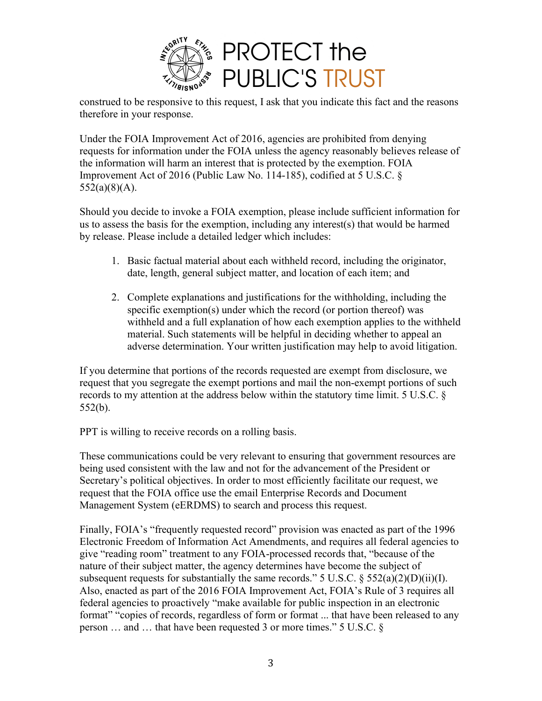

construed to be responsive to this request, I ask that you indicate this fact and the reasons therefore in your response.

Under the FOIA Improvement Act of 2016, agencies are prohibited from denying requests for information under the FOIA unless the agency reasonably believes release of the information will harm an interest that is protected by the exemption. FOIA Improvement Act of 2016 (Public Law No. 114-185), codified at 5 U.S.C. §  $552(a)(8)(A)$ .

Should you decide to invoke a FOIA exemption, please include sufficient information for us to assess the basis for the exemption, including any interest(s) that would be harmed by release. Please include a detailed ledger which includes:

- 1. Basic factual material about each withheld record, including the originator, date, length, general subject matter, and location of each item; and
- 2. Complete explanations and justifications for the withholding, including the specific exemption(s) under which the record (or portion thereof) was withheld and a full explanation of how each exemption applies to the withheld material. Such statements will be helpful in deciding whether to appeal an adverse determination. Your written justification may help to avoid litigation.

If you determine that portions of the records requested are exempt from disclosure, we request that you segregate the exempt portions and mail the non-exempt portions of such records to my attention at the address below within the statutory time limit. 5 U.S.C. § 552(b).

PPT is willing to receive records on a rolling basis.

These communications could be very relevant to ensuring that government resources are being used consistent with the law and not for the advancement of the President or Secretary's political objectives. In order to most efficiently facilitate our request, we request that the FOIA office use the email Enterprise Records and Document Management System (eERDMS) to search and process this request.

Finally, FOIA's "frequently requested record" provision was enacted as part of the 1996 Electronic Freedom of Information Act Amendments, and requires all federal agencies to give "reading room" treatment to any FOIA-processed records that, "because of the nature of their subject matter, the agency determines have become the subject of subsequent requests for substantially the same records." 5 U.S.C.  $\S$  552(a)(2)(D)(ii)(I). Also, enacted as part of the 2016 FOIA Improvement Act, FOIA's Rule of 3 requires all federal agencies to proactively "make available for public inspection in an electronic format" "copies of records, regardless of form or format ... that have been released to any person … and … that have been requested 3 or more times." 5 U.S.C. §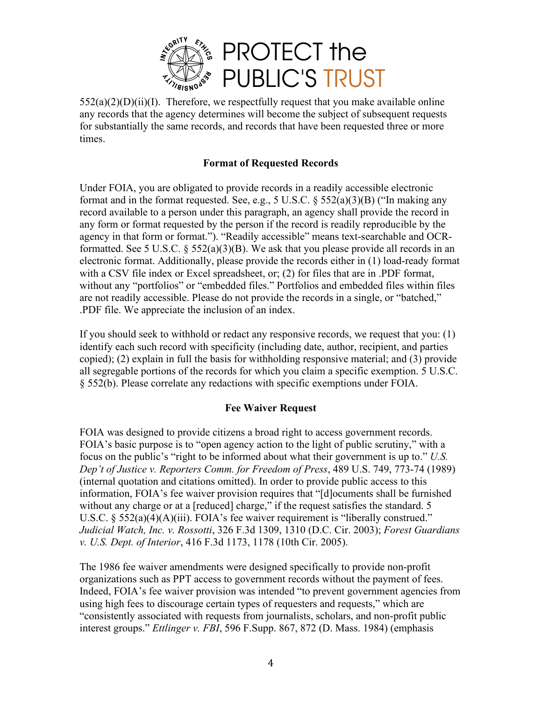

 $552(a)(2)(D)(ii)(I)$ . Therefore, we respectfully request that you make available online any records that the agency determines will become the subject of subsequent requests for substantially the same records, and records that have been requested three or more times.

## **Format of Requested Records**

Under FOIA, you are obligated to provide records in a readily accessible electronic format and in the format requested. See, e.g.,  $5 \text{ U.S.C.}$   $8 \frac{552(a)(3)(B)}{B}$  ("In making any record available to a person under this paragraph, an agency shall provide the record in any form or format requested by the person if the record is readily reproducible by the agency in that form or format."). "Readily accessible" means text-searchable and OCRformatted. See 5 U.S.C.  $\S$  552(a)(3)(B). We ask that you please provide all records in an electronic format. Additionally, please provide the records either in (1) load-ready format with a CSV file index or Excel spreadsheet, or; (2) for files that are in .PDF format, without any "portfolios" or "embedded files." Portfolios and embedded files within files are not readily accessible. Please do not provide the records in a single, or "batched," .PDF file. We appreciate the inclusion of an index.

If you should seek to withhold or redact any responsive records, we request that you: (1) identify each such record with specificity (including date, author, recipient, and parties copied); (2) explain in full the basis for withholding responsive material; and (3) provide all segregable portions of the records for which you claim a specific exemption. 5 U.S.C. § 552(b). Please correlate any redactions with specific exemptions under FOIA.

## **Fee Waiver Request**

FOIA was designed to provide citizens a broad right to access government records. FOIA's basic purpose is to "open agency action to the light of public scrutiny," with a focus on the public's "right to be informed about what their government is up to." *U.S. Dep't of Justice v. Reporters Comm. for Freedom of Press*, 489 U.S. 749, 773-74 (1989) (internal quotation and citations omitted). In order to provide public access to this information, FOIA's fee waiver provision requires that "[d]ocuments shall be furnished without any charge or at a [reduced] charge," if the request satisfies the standard. 5 U.S.C. § 552(a)(4)(A)(iii). FOIA's fee waiver requirement is "liberally construed." *Judicial Watch, Inc. v. Rossotti*, 326 F.3d 1309, 1310 (D.C. Cir. 2003); *Forest Guardians v. U.S. Dept. of Interior*, 416 F.3d 1173, 1178 (10th Cir. 2005).

The 1986 fee waiver amendments were designed specifically to provide non-profit organizations such as PPT access to government records without the payment of fees. Indeed, FOIA's fee waiver provision was intended "to prevent government agencies from using high fees to discourage certain types of requesters and requests," which are "consistently associated with requests from journalists, scholars, and non-profit public interest groups." *Ettlinger v. FBI*, 596 F.Supp. 867, 872 (D. Mass. 1984) (emphasis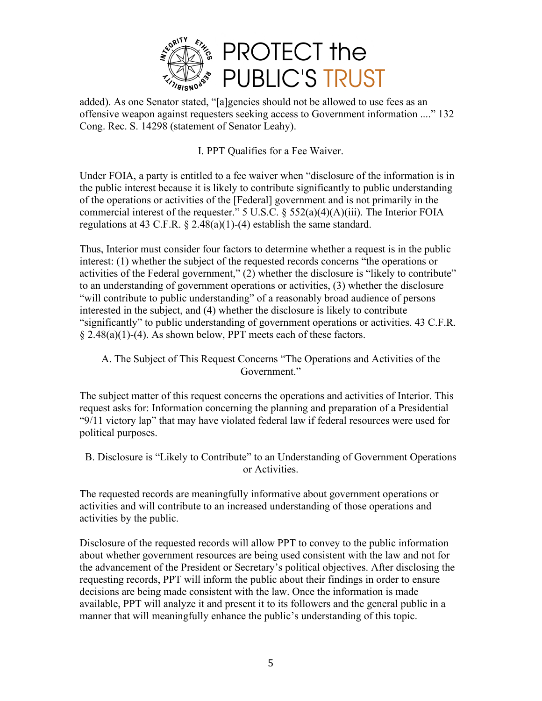

added). As one Senator stated, "[a]gencies should not be allowed to use fees as an offensive weapon against requesters seeking access to Government information ...." 132 Cong. Rec. S. 14298 (statement of Senator Leahy).

I. PPT Qualifies for a Fee Waiver.

Under FOIA, a party is entitled to a fee waiver when "disclosure of the information is in the public interest because it is likely to contribute significantly to public understanding of the operations or activities of the [Federal] government and is not primarily in the commercial interest of the requester." 5 U.S.C.  $\S$  552(a)(4)(A)(iii). The Interior FOIA regulations at 43 C.F.R.  $\&$  2.48(a)(1)-(4) establish the same standard.

Thus, Interior must consider four factors to determine whether a request is in the public interest: (1) whether the subject of the requested records concerns "the operations or activities of the Federal government," (2) whether the disclosure is "likely to contribute" to an understanding of government operations or activities, (3) whether the disclosure "will contribute to public understanding" of a reasonably broad audience of persons interested in the subject, and (4) whether the disclosure is likely to contribute "significantly" to public understanding of government operations or activities. 43 C.F.R. § 2.48(a)(1)-(4). As shown below, PPT meets each of these factors.

A. The Subject of This Request Concerns "The Operations and Activities of the Government."

The subject matter of this request concerns the operations and activities of Interior. This request asks for: Information concerning the planning and preparation of a Presidential "9/11 victory lap" that may have violated federal law if federal resources were used for political purposes.

B. Disclosure is "Likely to Contribute" to an Understanding of Government Operations or Activities.

The requested records are meaningfully informative about government operations or activities and will contribute to an increased understanding of those operations and activities by the public.

Disclosure of the requested records will allow PPT to convey to the public information about whether government resources are being used consistent with the law and not for the advancement of the President or Secretary's political objectives. After disclosing the requesting records, PPT will inform the public about their findings in order to ensure decisions are being made consistent with the law. Once the information is made available, PPT will analyze it and present it to its followers and the general public in a manner that will meaningfully enhance the public's understanding of this topic.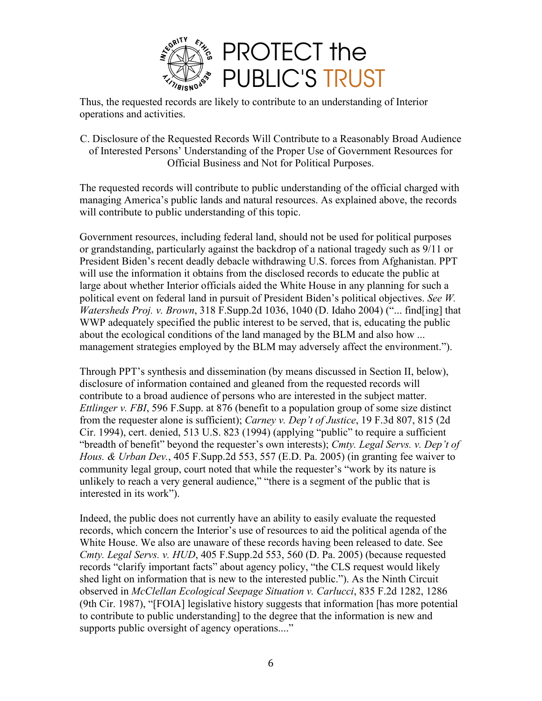

Thus, the requested records are likely to contribute to an understanding of Interior operations and activities.

C. Disclosure of the Requested Records Will Contribute to a Reasonably Broad Audience of Interested Persons' Understanding of the Proper Use of Government Resources for Official Business and Not for Political Purposes.

The requested records will contribute to public understanding of the official charged with managing America's public lands and natural resources. As explained above, the records will contribute to public understanding of this topic.

Government resources, including federal land, should not be used for political purposes or grandstanding, particularly against the backdrop of a national tragedy such as 9/11 or President Biden's recent deadly debacle withdrawing U.S. forces from Afghanistan. PPT will use the information it obtains from the disclosed records to educate the public at large about whether Interior officials aided the White House in any planning for such a political event on federal land in pursuit of President Biden's political objectives. *See W. Watersheds Proj. v. Brown*, 318 F.Supp.2d 1036, 1040 (D. Idaho 2004) ("... find[ing] that WWP adequately specified the public interest to be served, that is, educating the public about the ecological conditions of the land managed by the BLM and also how ... management strategies employed by the BLM may adversely affect the environment.").

Through PPT's synthesis and dissemination (by means discussed in Section II, below), disclosure of information contained and gleaned from the requested records will contribute to a broad audience of persons who are interested in the subject matter. *Ettlinger v. FBI*, 596 F.Supp. at 876 (benefit to a population group of some size distinct from the requester alone is sufficient); *Carney v. Dep't of Justice*, 19 F.3d 807, 815 (2d Cir. 1994), cert. denied, 513 U.S. 823 (1994) (applying "public" to require a sufficient "breadth of benefit" beyond the requester's own interests); *Cmty. Legal Servs. v. Dep't of Hous. & Urban Dev.*, 405 F.Supp.2d 553, 557 (E.D. Pa. 2005) (in granting fee waiver to community legal group, court noted that while the requester's "work by its nature is unlikely to reach a very general audience," "there is a segment of the public that is interested in its work").

Indeed, the public does not currently have an ability to easily evaluate the requested records, which concern the Interior's use of resources to aid the political agenda of the White House. We also are unaware of these records having been released to date. See *Cmty. Legal Servs. v. HUD*, 405 F.Supp.2d 553, 560 (D. Pa. 2005) (because requested records "clarify important facts" about agency policy, "the CLS request would likely shed light on information that is new to the interested public."). As the Ninth Circuit observed in *McClellan Ecological Seepage Situation v. Carlucci*, 835 F.2d 1282, 1286 (9th Cir. 1987), "[FOIA] legislative history suggests that information [has more potential to contribute to public understanding] to the degree that the information is new and supports public oversight of agency operations...."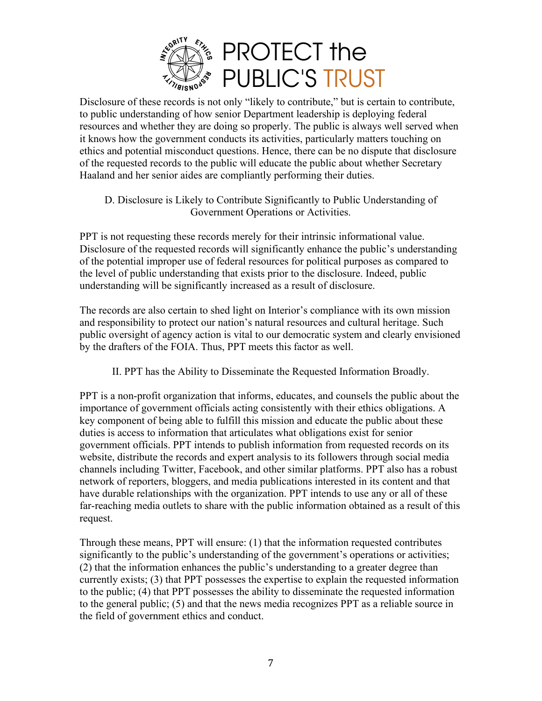

Disclosure of these records is not only "likely to contribute," but is certain to contribute, to public understanding of how senior Department leadership is deploying federal resources and whether they are doing so properly. The public is always well served when it knows how the government conducts its activities, particularly matters touching on ethics and potential misconduct questions. Hence, there can be no dispute that disclosure of the requested records to the public will educate the public about whether Secretary Haaland and her senior aides are compliantly performing their duties.

D. Disclosure is Likely to Contribute Significantly to Public Understanding of Government Operations or Activities.

PPT is not requesting these records merely for their intrinsic informational value. Disclosure of the requested records will significantly enhance the public's understanding of the potential improper use of federal resources for political purposes as compared to the level of public understanding that exists prior to the disclosure. Indeed, public understanding will be significantly increased as a result of disclosure.

The records are also certain to shed light on Interior's compliance with its own mission and responsibility to protect our nation's natural resources and cultural heritage. Such public oversight of agency action is vital to our democratic system and clearly envisioned by the drafters of the FOIA. Thus, PPT meets this factor as well.

II. PPT has the Ability to Disseminate the Requested Information Broadly.

PPT is a non-profit organization that informs, educates, and counsels the public about the importance of government officials acting consistently with their ethics obligations. A key component of being able to fulfill this mission and educate the public about these duties is access to information that articulates what obligations exist for senior government officials. PPT intends to publish information from requested records on its website, distribute the records and expert analysis to its followers through social media channels including Twitter, Facebook, and other similar platforms. PPT also has a robust network of reporters, bloggers, and media publications interested in its content and that have durable relationships with the organization. PPT intends to use any or all of these far-reaching media outlets to share with the public information obtained as a result of this request.

Through these means, PPT will ensure: (1) that the information requested contributes significantly to the public's understanding of the government's operations or activities; (2) that the information enhances the public's understanding to a greater degree than currently exists; (3) that PPT possesses the expertise to explain the requested information to the public; (4) that PPT possesses the ability to disseminate the requested information to the general public; (5) and that the news media recognizes PPT as a reliable source in the field of government ethics and conduct.